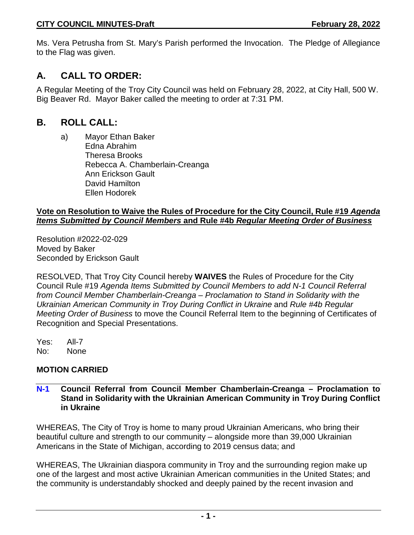Ms. Vera Petrusha from St. Mary's Parish performed the Invocation. The Pledge of Allegiance to the Flag was given.

# **A. CALL TO ORDER:**

A Regular Meeting of the Troy City Council was held on February 28, 2022, at City Hall, 500 W. Big Beaver Rd. Mayor Baker called the meeting to order at 7:31 PM.

# **B. ROLL CALL:**

a) Mayor Ethan Baker Edna Abrahim Theresa Brooks Rebecca A. Chamberlain-Creanga Ann Erickson Gault David Hamilton Ellen Hodorek

### **Vote on Resolution to Waive the Rules of Procedure for the City Council, Rule #19** *Agenda Items Submitted by Council Members* **and Rule #4b** *Regular Meeting Order of Business*

Resolution #2022-02-029 Moved by Baker Seconded by Erickson Gault

RESOLVED, That Troy City Council hereby **WAIVES** the Rules of Procedure for the City Council Rule #19 *Agenda Items Submitted by Council Members to add N-1 Council Referral from Council Member Chamberlain-Creanga – Proclamation to Stand in Solidarity with the Ukrainian American Community in Troy During Conflict in Ukraine and Rule #4b Regular Meeting Order of Business* to move the Council Referral Item to the beginning of Certificates of Recognition and Special Presentations.

Yes: All-7 No: None

# **MOTION CARRIED**

#### **N-1 Council Referral from Council Member Chamberlain-Creanga – Proclamation to Stand in Solidarity with the Ukrainian American Community in Troy During Conflict in Ukraine**

WHEREAS, The City of Troy is home to many proud Ukrainian Americans, who bring their beautiful culture and strength to our community – alongside more than 39,000 Ukrainian Americans in the State of Michigan, according to 2019 census data; and

WHEREAS, The Ukrainian diaspora community in Troy and the surrounding region make up one of the largest and most active Ukrainian American communities in the United States; and the community is understandably shocked and deeply pained by the recent invasion and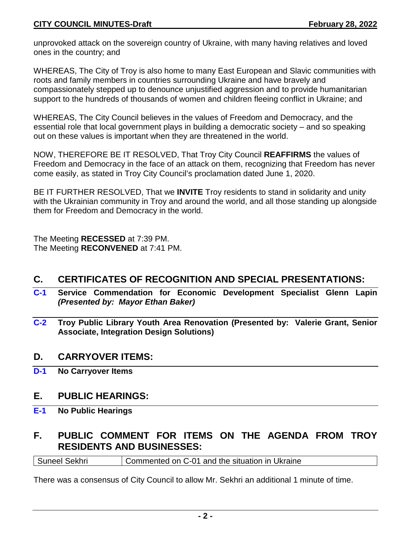unprovoked attack on the sovereign country of Ukraine, with many having relatives and loved ones in the country; and

WHEREAS, The City of Troy is also home to many East European and Slavic communities with roots and family members in countries surrounding Ukraine and have bravely and compassionately stepped up to denounce unjustified aggression and to provide humanitarian support to the hundreds of thousands of women and children fleeing conflict in Ukraine; and

WHEREAS, The City Council believes in the values of Freedom and Democracy, and the essential role that local government plays in building a democratic society – and so speaking out on these values is important when they are threatened in the world.

NOW, THEREFORE BE IT RESOLVED, That Troy City Council **REAFFIRMS** the values of Freedom and Democracy in the face of an attack on them, recognizing that Freedom has never come easily, as stated in Troy City Council's proclamation dated June 1, 2020.

BE IT FURTHER RESOLVED, That we **INVITE** Troy residents to stand in solidarity and unity with the Ukrainian community in Troy and around the world, and all those standing up alongside them for Freedom and Democracy in the world.

The Meeting **RECESSED** at 7:39 PM. The Meeting **RECONVENED** at 7:41 PM.

# **C. CERTIFICATES OF RECOGNITION AND SPECIAL PRESENTATIONS:**

- **C-1 Service Commendation for Economic Development Specialist Glenn Lapin** *(Presented by: Mayor Ethan Baker)*
- **C-2 Troy Public Library Youth Area Renovation (Presented by: Valerie Grant, Senior Associate, Integration Design Solutions)**

# **D. CARRYOVER ITEMS:**

**D-1 No Carryover Items**

# **E. PUBLIC HEARINGS:**

**E-1 No Public Hearings**

# **F. PUBLIC COMMENT FOR ITEMS ON THE AGENDA FROM TROY RESIDENTS AND BUSINESSES:**

Suneel Sekhri **Commented on C-01** and the situation in Ukraine

There was a consensus of City Council to allow Mr. Sekhri an additional 1 minute of time.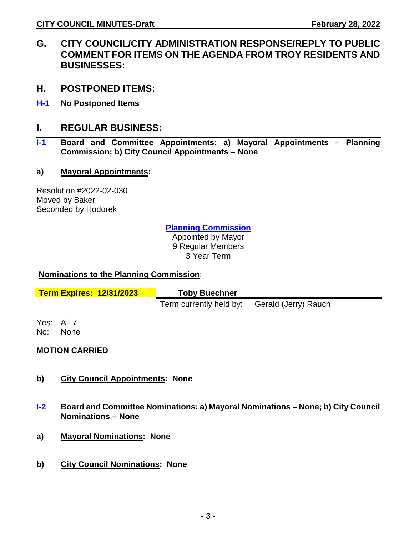- **G. CITY COUNCIL/CITY ADMINISTRATION RESPONSE/REPLY TO PUBLIC COMMENT FOR ITEMS ON THE AGENDA FROM TROY RESIDENTS AND BUSINESSES:**
- **H. POSTPONED ITEMS:**
- **H-1 No Postponed Items**

# **I. REGULAR BUSINESS:**

**I-1 Board and Committee Appointments: a) Mayoral Appointments – Planning Commission; b) City Council Appointments – None**

### **a) Mayoral Appointments:**

Resolution #2022-02-030 Moved by Baker Seconded by Hodorek

**Planning Commission**

Appointed by Mayor 9 Regular Members 3 Year Term

#### **Nominations to the Planning Commission**:

| <b>Term Expires: 12/31/2023</b> |                           | <b>Toby Buechner</b>                         |  |
|---------------------------------|---------------------------|----------------------------------------------|--|
|                                 |                           | Term currently held by: Gerald (Jerry) Rauch |  |
| No:                             | Yes: All-7<br><b>None</b> |                                              |  |

# **MOTION CARRIED**

- **b) City Council Appointments: None**
- **I-2 Board and Committee Nominations: a) Mayoral Nominations – None; b) City Council Nominations – None**
- **a) Mayoral Nominations: None**
- **b) City Council Nominations: None**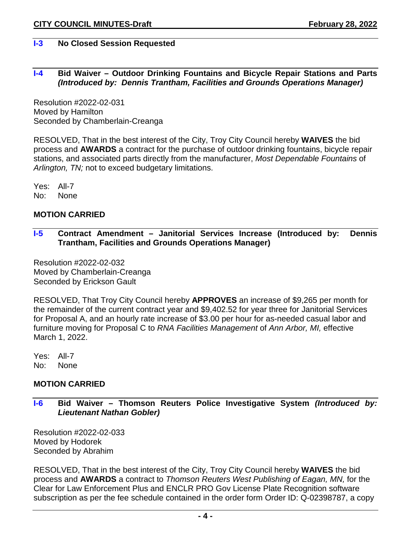#### **I-3 No Closed Session Requested**

#### **I-4 Bid Waiver – Outdoor Drinking Fountains and Bicycle Repair Stations and Parts** *(Introduced by: Dennis Trantham, Facilities and Grounds Operations Manager)*

Resolution #2022-02-031 Moved by Hamilton Seconded by Chamberlain-Creanga

RESOLVED, That in the best interest of the City, Troy City Council hereby **WAIVES** the bid process and **AWARDS** a contract for the purchase of outdoor drinking fountains, bicycle repair stations, and associated parts directly from the manufacturer, *Most Dependable Fountains* of *Arlington, TN;* not to exceed budgetary limitations.

Yes: All-7 No: None

#### **MOTION CARRIED**

**I-5 Contract Amendment – Janitorial Services Increase (Introduced by: Dennis Trantham, Facilities and Grounds Operations Manager)** 

Resolution #2022-02-032 Moved by Chamberlain-Creanga Seconded by Erickson Gault

RESOLVED, That Troy City Council hereby **APPROVES** an increase of \$9,265 per month for the remainder of the current contract year and \$9,402.52 for year three for Janitorial Services for Proposal A, and an hourly rate increase of \$3.00 per hour for as-needed casual labor and furniture moving for Proposal C to *RNA Facilities Management* of *Ann Arbor, MI,* effective March 1, 2022.

Yes: All-7 No: None

#### **MOTION CARRIED**

**I-6 Bid Waiver – Thomson Reuters Police Investigative System** *(Introduced by: Lieutenant Nathan Gobler)* 

Resolution #2022-02-033 Moved by Hodorek Seconded by Abrahim

RESOLVED, That in the best interest of the City, Troy City Council hereby **WAIVES** the bid process and **AWARDS** a contract to *Thomson Reuters West Publishing of Eagan, MN,* for the Clear for Law Enforcement Plus and ENCLR PRO Gov License Plate Recognition software subscription as per the fee schedule contained in the order form Order ID: Q-02398787, a copy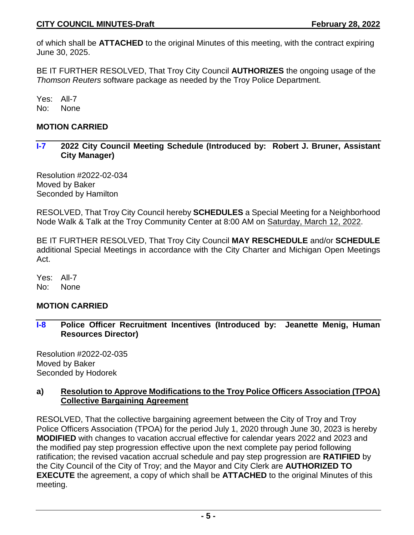of which shall be **ATTACHED** to the original Minutes of this meeting, with the contract expiring June 30, 2025.

BE IT FURTHER RESOLVED, That Troy City Council **AUTHORIZES** the ongoing usage of the *Thomson Reuters* software package as needed by the Troy Police Department.

Yes: All-7 No: None

# **MOTION CARRIED**

**I-7 2022 City Council Meeting Schedule (Introduced by: Robert J. Bruner, Assistant City Manager)** 

Resolution #2022-02-034 Moved by Baker Seconded by Hamilton

RESOLVED, That Troy City Council hereby **SCHEDULES** a Special Meeting for a Neighborhood Node Walk & Talk at the Troy Community Center at 8:00 AM on Saturday, March 12, 2022.

BE IT FURTHER RESOLVED, That Troy City Council **MAY RESCHEDULE** and/or **SCHEDULE** additional Special Meetings in accordance with the City Charter and Michigan Open Meetings Act.

Yes: All-7 No: None

# **MOTION CARRIED**

**I-8 Police Officer Recruitment Incentives (Introduced by: Jeanette Menig, Human Resources Director)** 

Resolution #2022-02-035 Moved by Baker Seconded by Hodorek

#### **a) Resolution to Approve Modifications to the Troy Police Officers Association (TPOA) Collective Bargaining Agreement**

RESOLVED, That the collective bargaining agreement between the City of Troy and Troy Police Officers Association (TPOA) for the period July 1, 2020 through June 30, 2023 is hereby **MODIFIED** with changes to vacation accrual effective for calendar years 2022 and 2023 and the modified pay step progression effective upon the next complete pay period following ratification; the revised vacation accrual schedule and pay step progression are **RATIFIED** by the City Council of the City of Troy; and the Mayor and City Clerk are **AUTHORIZED TO EXECUTE** the agreement, a copy of which shall be **ATTACHED** to the original Minutes of this meeting.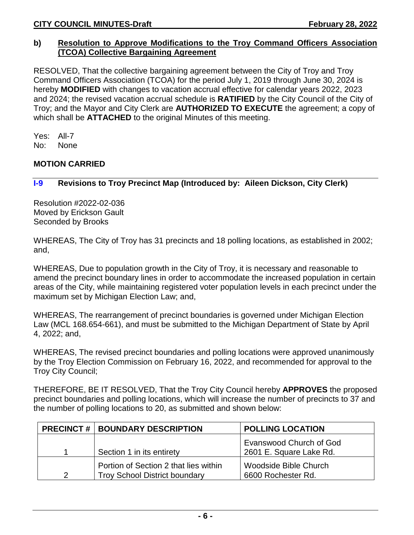#### **b) Resolution to Approve Modifications to the Troy Command Officers Association (TCOA) Collective Bargaining Agreement**

RESOLVED, That the collective bargaining agreement between the City of Troy and Troy Command Officers Association (TCOA) for the period July 1, 2019 through June 30, 2024 is hereby **MODIFIED** with changes to vacation accrual effective for calendar years 2022, 2023 and 2024; the revised vacation accrual schedule is **RATIFIED** by the City Council of the City of Troy; and the Mayor and City Clerk are **AUTHORIZED TO EXECUTE** the agreement; a copy of which shall be **ATTACHED** to the original Minutes of this meeting.

Yes: All-7 No: None

### **MOTION CARRIED**

### **I-9 Revisions to Troy Precinct Map (Introduced by: Aileen Dickson, City Clerk)**

Resolution #2022-02-036 Moved by Erickson Gault Seconded by Brooks

WHEREAS, The City of Troy has 31 precincts and 18 polling locations, as established in 2002; and,

WHEREAS, Due to population growth in the City of Troy, it is necessary and reasonable to amend the precinct boundary lines in order to accommodate the increased population in certain areas of the City, while maintaining registered voter population levels in each precinct under the maximum set by Michigan Election Law; and,

WHEREAS, The rearrangement of precinct boundaries is governed under Michigan Election Law (MCL 168.654-661), and must be submitted to the Michigan Department of State by April 4, 2022; and,

WHEREAS, The revised precinct boundaries and polling locations were approved unanimously by the Troy Election Commission on February 16, 2022, and recommended for approval to the Troy City Council;

THEREFORE, BE IT RESOLVED, That the Troy City Council hereby **APPROVES** the proposed precinct boundaries and polling locations, which will increase the number of precincts to 37 and the number of polling locations to 20, as submitted and shown below:

|   | <b>PRECINCT #   BOUNDARY DESCRIPTION</b>                                      | <b>POLLING LOCATION</b>                            |
|---|-------------------------------------------------------------------------------|----------------------------------------------------|
|   | Section 1 in its entirety                                                     | Evanswood Church of God<br>2601 E. Square Lake Rd. |
| 2 | Portion of Section 2 that lies within<br><b>Troy School District boundary</b> | Woodside Bible Church<br>6600 Rochester Rd.        |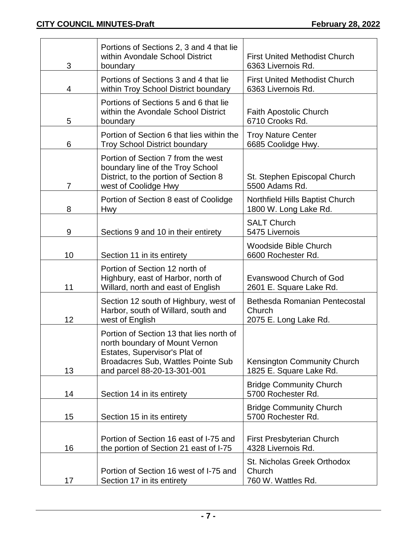| 3  | Portions of Sections 2, 3 and 4 that lie<br>within Avondale School District<br>boundary                                                                                          | <b>First United Methodist Church</b><br>6363 Livernois Rd.       |
|----|----------------------------------------------------------------------------------------------------------------------------------------------------------------------------------|------------------------------------------------------------------|
| 4  | Portions of Sections 3 and 4 that lie<br>within Troy School District boundary                                                                                                    | <b>First United Methodist Church</b><br>6363 Livernois Rd.       |
| 5  | Portions of Sections 5 and 6 that lie<br>within the Avondale School District<br>boundary                                                                                         | <b>Faith Apostolic Church</b><br>6710 Crooks Rd.                 |
| 6  | Portion of Section 6 that lies within the<br><b>Troy School District boundary</b>                                                                                                | <b>Troy Nature Center</b><br>6685 Coolidge Hwy.                  |
| 7  | Portion of Section 7 from the west<br>boundary line of the Troy School<br>District, to the portion of Section 8<br>west of Coolidge Hwy                                          | St. Stephen Episcopal Church<br>5500 Adams Rd.                   |
| 8  | Portion of Section 8 east of Coolidge<br><b>Hwy</b>                                                                                                                              | Northfield Hills Baptist Church<br>1800 W. Long Lake Rd.         |
| 9  | Sections 9 and 10 in their entirety                                                                                                                                              | <b>SALT Church</b><br>5475 Livernois                             |
| 10 | Section 11 in its entirety                                                                                                                                                       | <b>Woodside Bible Church</b><br>6600 Rochester Rd.               |
| 11 | Portion of Section 12 north of<br>Highbury, east of Harbor, north of<br>Willard, north and east of English                                                                       | <b>Evanswood Church of God</b><br>2601 E. Square Lake Rd.        |
| 12 | Section 12 south of Highbury, west of<br>Harbor, south of Willard, south and<br>west of English                                                                                  | Bethesda Romanian Pentecostal<br>Church<br>2075 E. Long Lake Rd. |
| 13 | Portion of Section 13 that lies north of<br>north boundary of Mount Vernon<br>Estates, Supervisor's Plat of<br>Broadacres Sub, Wattles Pointe Sub<br>and parcel 88-20-13-301-001 | Kensington Community Church<br>1825 E. Square Lake Rd.           |
| 14 | Section 14 in its entirety                                                                                                                                                       | <b>Bridge Community Church</b><br>5700 Rochester Rd.             |
| 15 | Section 15 in its entirety                                                                                                                                                       | <b>Bridge Community Church</b><br>5700 Rochester Rd.             |
| 16 | Portion of Section 16 east of I-75 and<br>the portion of Section 21 east of I-75                                                                                                 | First Presbyterian Church<br>4328 Livernois Rd.                  |
| 17 | Portion of Section 16 west of I-75 and<br>Section 17 in its entirety                                                                                                             | St. Nicholas Greek Orthodox<br>Church<br>760 W. Wattles Rd.      |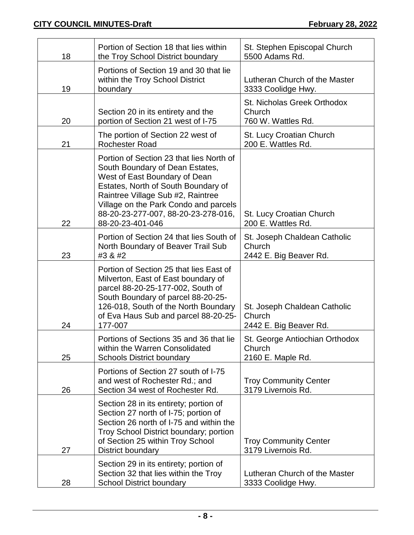| 18 | Portion of Section 18 that lies within<br>the Troy School District boundary                                                                                                                                                                                                                  | St. Stephen Episcopal Church<br>5500 Adams Rd.                   |
|----|----------------------------------------------------------------------------------------------------------------------------------------------------------------------------------------------------------------------------------------------------------------------------------------------|------------------------------------------------------------------|
| 19 | Portions of Section 19 and 30 that lie<br>within the Troy School District<br>boundary                                                                                                                                                                                                        | Lutheran Church of the Master<br>3333 Coolidge Hwy.              |
| 20 | Section 20 in its entirety and the<br>portion of Section 21 west of I-75                                                                                                                                                                                                                     | St. Nicholas Greek Orthodox<br>Church<br>760 W. Wattles Rd.      |
| 21 | The portion of Section 22 west of<br><b>Rochester Road</b>                                                                                                                                                                                                                                   | St. Lucy Croatian Church<br>200 E. Wattles Rd.                   |
| 22 | Portion of Section 23 that lies North of<br>South Boundary of Dean Estates,<br>West of East Boundary of Dean<br>Estates, North of South Boundary of<br>Raintree Village Sub #2, Raintree<br>Village on the Park Condo and parcels<br>88-20-23-277-007, 88-20-23-278-016,<br>88-20-23-401-046 | St. Lucy Croatian Church<br>200 E. Wattles Rd.                   |
| 23 | Portion of Section 24 that lies South of<br>North Boundary of Beaver Trail Sub<br>#3 & #2                                                                                                                                                                                                    | St. Joseph Chaldean Catholic<br>Church<br>2442 E. Big Beaver Rd. |
| 24 | Portion of Section 25 that lies East of<br>Milverton, East of East boundary of<br>parcel 88-20-25-177-002, South of<br>South Boundary of parcel 88-20-25-<br>126-018, South of the North Boundary<br>of Eva Haus Sub and parcel 88-20-25-<br>177-007                                         | St. Joseph Chaldean Catholic<br>Church<br>2442 E. Big Beaver Rd. |
| 25 | Portions of Sections 35 and 36 that lie<br>within the Warren Consolidated<br><b>Schools District boundary</b>                                                                                                                                                                                | St. George Antiochian Orthodox<br>Church<br>2160 E. Maple Rd.    |
| 26 | Portions of Section 27 south of I-75<br>and west of Rochester Rd.; and<br>Section 34 west of Rochester Rd.                                                                                                                                                                                   | <b>Troy Community Center</b><br>3179 Livernois Rd.               |
| 27 | Section 28 in its entirety; portion of<br>Section 27 north of I-75; portion of<br>Section 26 north of I-75 and within the<br>Troy School District boundary; portion<br>of Section 25 within Troy School<br>District boundary                                                                 | <b>Troy Community Center</b><br>3179 Livernois Rd.               |
| 28 | Section 29 in its entirety; portion of<br>Section 32 that lies within the Troy<br><b>School District boundary</b>                                                                                                                                                                            | Lutheran Church of the Master<br>3333 Coolidge Hwy.              |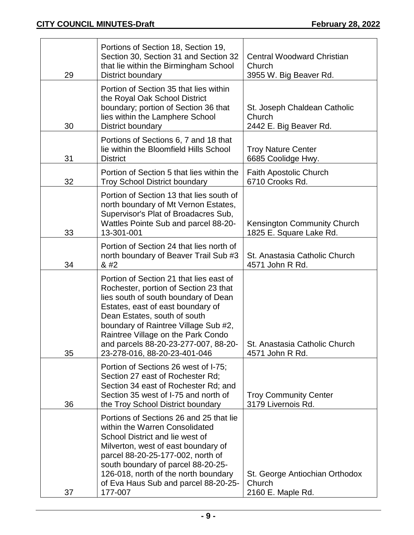| 29 | Portions of Section 18, Section 19,<br>Section 30, Section 31 and Section 32<br>that lie within the Birmingham School<br>District boundary                                                                                                                                                                                                          | <b>Central Woodward Christian</b><br>Church<br>3955 W. Big Beaver Rd. |
|----|-----------------------------------------------------------------------------------------------------------------------------------------------------------------------------------------------------------------------------------------------------------------------------------------------------------------------------------------------------|-----------------------------------------------------------------------|
| 30 | Portion of Section 35 that lies within<br>the Royal Oak School District<br>boundary; portion of Section 36 that<br>lies within the Lamphere School<br>District boundary                                                                                                                                                                             | St. Joseph Chaldean Catholic<br>Church<br>2442 E. Big Beaver Rd.      |
| 31 | Portions of Sections 6, 7 and 18 that<br>lie within the Bloomfield Hills School<br><b>District</b>                                                                                                                                                                                                                                                  | <b>Troy Nature Center</b><br>6685 Coolidge Hwy.                       |
| 32 | Portion of Section 5 that lies within the<br><b>Troy School District boundary</b>                                                                                                                                                                                                                                                                   | <b>Faith Apostolic Church</b><br>6710 Crooks Rd.                      |
| 33 | Portion of Section 13 that lies south of<br>north boundary of Mt Vernon Estates,<br>Supervisor's Plat of Broadacres Sub,<br>Wattles Pointe Sub and parcel 88-20-<br>13-301-001                                                                                                                                                                      | Kensington Community Church<br>1825 E. Square Lake Rd.                |
| 34 | Portion of Section 24 that lies north of<br>north boundary of Beaver Trail Sub #3<br>8#2                                                                                                                                                                                                                                                            | St. Anastasia Catholic Church<br>4571 John R Rd.                      |
| 35 | Portion of Section 21 that lies east of<br>Rochester, portion of Section 23 that<br>lies south of south boundary of Dean<br>Estates, east of east boundary of<br>Dean Estates, south of south<br>boundary of Raintree Village Sub #2,<br>Raintree Village on the Park Condo<br>and parcels 88-20-23-277-007, 88-20-<br>23-278-016, 88-20-23-401-046 | St. Anastasia Catholic Church<br>4571 John R Rd.                      |
| 36 | Portion of Sections 26 west of I-75;<br>Section 27 east of Rochester Rd:<br>Section 34 east of Rochester Rd; and<br>Section 35 west of I-75 and north of<br>the Troy School District boundary                                                                                                                                                       | <b>Troy Community Center</b><br>3179 Livernois Rd.                    |
| 37 | Portions of Sections 26 and 25 that lie<br>within the Warren Consolidated<br>School District and lie west of<br>Milverton, west of east boundary of<br>parcel 88-20-25-177-002, north of<br>south boundary of parcel 88-20-25-<br>126-018, north of the north boundary<br>of Eva Haus Sub and parcel 88-20-25-<br>177-007                           | St. George Antiochian Orthodox<br>Church<br>2160 E. Maple Rd.         |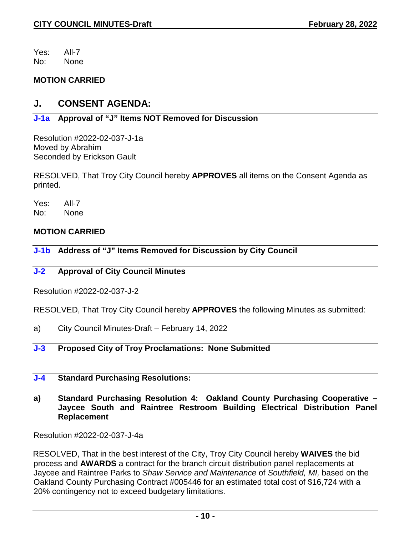Yes: All-7 No: None

#### **MOTION CARRIED**

# **J. CONSENT AGENDA:**

# **J-1a Approval of "J" Items NOT Removed for Discussion**

Resolution #2022-02-037-J-1a Moved by Abrahim Seconded by Erickson Gault

RESOLVED, That Troy City Council hereby **APPROVES** all items on the Consent Agenda as printed.

Yes: All-7 No: None

### **MOTION CARRIED**

**J-1b Address of "J" Items Removed for Discussion by City Council** 

#### **J-2 Approval of City Council Minutes**

Resolution #2022-02-037-J-2

RESOLVED, That Troy City Council hereby **APPROVES** the following Minutes as submitted:

a) City Council Minutes-Draft – February 14, 2022

# **J-3 Proposed City of Troy Proclamations: None Submitted**

#### **J-4 Standard Purchasing Resolutions:**

**a) Standard Purchasing Resolution 4: Oakland County Purchasing Cooperative – Jaycee South and Raintree Restroom Building Electrical Distribution Panel Replacement**

Resolution #2022-02-037-J-4a

RESOLVED, That in the best interest of the City, Troy City Council hereby **WAIVES** the bid process and **AWARDS** a contract for the branch circuit distribution panel replacements at Jaycee and Raintree Parks to *Shaw Service and Maintenance* of *Southfield, MI,* based on the Oakland County Purchasing Contract #005446 for an estimated total cost of \$16,724 with a 20% contingency not to exceed budgetary limitations.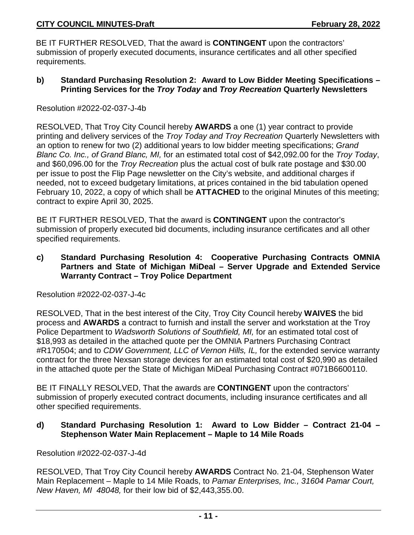BE IT FURTHER RESOLVED, That the award is **CONTINGENT** upon the contractors' submission of properly executed documents, insurance certificates and all other specified requirements.

**b) Standard Purchasing Resolution 2: Award to Low Bidder Meeting Specifications – Printing Services for the** *Troy Today* **and** *Troy Recreation* **Quarterly Newsletters**

Resolution #2022-02-037-J-4b

RESOLVED, That Troy City Council hereby **AWARDS** a one (1) year contract to provide printing and delivery services of the *Troy Today and Troy Recreation* Quarterly Newsletters with an option to renew for two (2) additional years to low bidder meeting specifications; *Grand Blanc Co. Inc., of Grand Blanc, MI,* for an estimated total cost of \$42,092.00 for the *Troy Today*, and \$60,096.00 for the *Troy Recreation* plus the actual cost of bulk rate postage and \$30.00 per issue to post the Flip Page newsletter on the City's website, and additional charges if needed, not to exceed budgetary limitations, at prices contained in the bid tabulation opened February 10, 2022, a copy of which shall be **ATTACHED** to the original Minutes of this meeting; contract to expire April 30, 2025.

BE IT FURTHER RESOLVED, That the award is **CONTINGENT** upon the contractor's submission of properly executed bid documents, including insurance certificates and all other specified requirements.

**c) Standard Purchasing Resolution 4: Cooperative Purchasing Contracts OMNIA Partners and State of Michigan MiDeal – Server Upgrade and Extended Service Warranty Contract – Troy Police Department**

Resolution #2022-02-037-J-4c

RESOLVED, That in the best interest of the City, Troy City Council hereby **WAIVES** the bid process and **AWARDS** a contract to furnish and install the server and workstation at the Troy Police Department to *Wadsworth Solutions of Southfield, MI,* for an estimated total cost of \$18,993 as detailed in the attached quote per the OMNIA Partners Purchasing Contract #R170504; and to *CDW Government, LLC of Vernon Hills, IL,* for the extended service warranty contract for the three Nexsan storage devices for an estimated total cost of \$20,990 as detailed in the attached quote per the State of Michigan MiDeal Purchasing Contract #071B6600110.

BE IT FINALLY RESOLVED, That the awards are **CONTINGENT** upon the contractors' submission of properly executed contract documents, including insurance certificates and all other specified requirements.

#### **d) Standard Purchasing Resolution 1: Award to Low Bidder – Contract 21-04 – Stephenson Water Main Replacement – Maple to 14 Mile Roads**

Resolution #2022-02-037-J-4d

RESOLVED, That Troy City Council hereby **AWARDS** Contract No. 21-04, Stephenson Water Main Replacement – Maple to 14 Mile Roads, to *Pamar Enterprises, Inc., 31604 Pamar Court, New Haven, MI 48048,* for their low bid of \$2,443,355.00.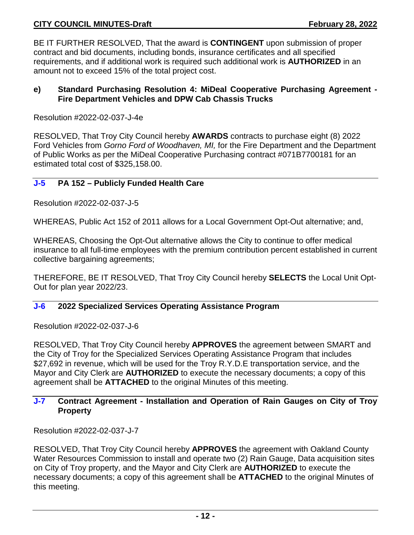BE IT FURTHER RESOLVED, That the award is **CONTINGENT** upon submission of proper contract and bid documents, including bonds, insurance certificates and all specified requirements, and if additional work is required such additional work is **AUTHORIZED** in an amount not to exceed 15% of the total project cost.

#### **e) Standard Purchasing Resolution 4: MiDeal Cooperative Purchasing Agreement - Fire Department Vehicles and DPW Cab Chassis Trucks**

Resolution #2022-02-037-J-4e

RESOLVED, That Troy City Council hereby **AWARDS** contracts to purchase eight (8) 2022 Ford Vehicles from *Gorno Ford of Woodhaven, MI,* for the Fire Department and the Department of Public Works as per the MiDeal Cooperative Purchasing contract #071B7700181 for an estimated total cost of \$325,158.00.

#### **J-5 PA 152 – Publicly Funded Health Care**

Resolution #2022-02-037-J-5

WHEREAS, Public Act 152 of 2011 allows for a Local Government Opt-Out alternative; and,

WHEREAS, Choosing the Opt-Out alternative allows the City to continue to offer medical insurance to all full-time employees with the premium contribution percent established in current collective bargaining agreements;

THEREFORE, BE IT RESOLVED, That Troy City Council hereby **SELECTS** the Local Unit Opt-Out for plan year 2022/23.

### **J-6 2022 Specialized Services Operating Assistance Program**

Resolution #2022-02-037-J-6

RESOLVED, That Troy City Council hereby **APPROVES** the agreement between SMART and the City of Troy for the Specialized Services Operating Assistance Program that includes \$27,692 in revenue, which will be used for the Troy R.Y.D.E transportation service, and the Mayor and City Clerk are **AUTHORIZED** to execute the necessary documents; a copy of this agreement shall be **ATTACHED** to the original Minutes of this meeting.

#### **J-7 Contract Agreement - Installation and Operation of Rain Gauges on City of Troy Property**

Resolution #2022-02-037-J-7

RESOLVED, That Troy City Council hereby **APPROVES** the agreement with Oakland County Water Resources Commission to install and operate two (2) Rain Gauge, Data acquisition sites on City of Troy property, and the Mayor and City Clerk are **AUTHORIZED** to execute the necessary documents; a copy of this agreement shall be **ATTACHED** to the original Minutes of this meeting.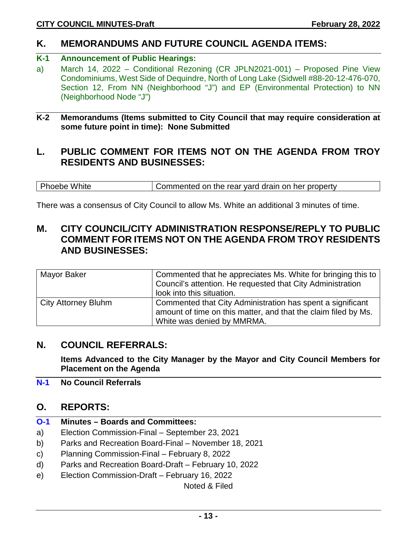# **K. MEMORANDUMS AND FUTURE COUNCIL AGENDA ITEMS:**

# **K-1 Announcement of Public Hearings:**

a) March 14, 2022 – Conditional Rezoning (CR JPLN2021-001) – Proposed Pine View Condominiums, West Side of Dequindre, North of Long Lake (Sidwell #88-20-12-476-070, Section 12, From NN (Neighborhood "J") and EP (Environmental Protection) to NN (Neighborhood Node "J")

#### **K-2 Memorandums (Items submitted to City Council that may require consideration at some future point in time): None Submitted**

# **L. PUBLIC COMMENT FOR ITEMS NOT ON THE AGENDA FROM TROY RESIDENTS AND BUSINESSES:**

Phoebe White Commented on the rear yard drain on her property

There was a consensus of City Council to allow Ms. White an additional 3 minutes of time.

# **M. CITY COUNCIL/CITY ADMINISTRATION RESPONSE/REPLY TO PUBLIC COMMENT FOR ITEMS NOT ON THE AGENDA FROM TROY RESIDENTS AND BUSINESSES:**

| Mayor Baker                | Commented that he appreciates Ms. White for bringing this to<br>Council's attention. He requested that City Administration<br>look into this situation.    |
|----------------------------|------------------------------------------------------------------------------------------------------------------------------------------------------------|
| <b>City Attorney Bluhm</b> | Commented that City Administration has spent a significant<br>amount of time on this matter, and that the claim filed by Ms.<br>White was denied by MMRMA. |

# **N. COUNCIL REFERRALS:**

**Items Advanced to the City Manager by the Mayor and City Council Members for Placement on the Agenda**

**N-1 No Council Referrals**

# **O. REPORTS:**

- **O-1 Minutes – Boards and Committees:**
- a) Election Commission-Final September 23, 2021
- b) Parks and Recreation Board-Final November 18, 2021
- c) Planning Commission-Final February 8, 2022
- d) Parks and Recreation Board-Draft February 10, 2022
- e) Election Commission-Draft February 16, 2022

Noted & Filed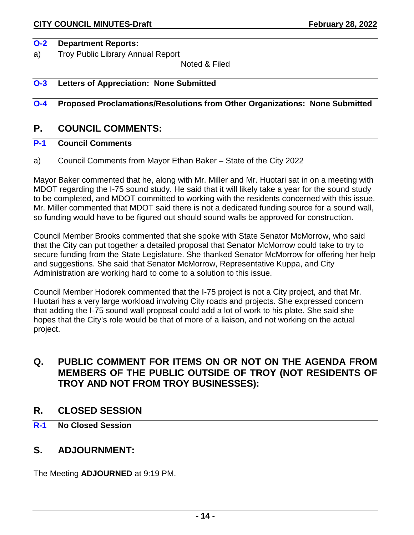#### **O-2 Department Reports:**

a) Troy Public Library Annual Report

Noted & Filed

#### **O-3 Letters of Appreciation: None Submitted**

#### **O-4 Proposed Proclamations/Resolutions from Other Organizations: None Submitted**

# **P. COUNCIL COMMENTS:**

### **P-1 Council Comments**

a) Council Comments from Mayor Ethan Baker – State of the City 2022

Mayor Baker commented that he, along with Mr. Miller and Mr. Huotari sat in on a meeting with MDOT regarding the I-75 sound study. He said that it will likely take a year for the sound study to be completed, and MDOT committed to working with the residents concerned with this issue. Mr. Miller commented that MDOT said there is not a dedicated funding source for a sound wall, so funding would have to be figured out should sound walls be approved for construction.

Council Member Brooks commented that she spoke with State Senator McMorrow, who said that the City can put together a detailed proposal that Senator McMorrow could take to try to secure funding from the State Legislature. She thanked Senator McMorrow for offering her help and suggestions. She said that Senator McMorrow, Representative Kuppa, and City Administration are working hard to come to a solution to this issue.

Council Member Hodorek commented that the I-75 project is not a City project, and that Mr. Huotari has a very large workload involving City roads and projects. She expressed concern that adding the I-75 sound wall proposal could add a lot of work to his plate. She said she hopes that the City's role would be that of more of a liaison, and not working on the actual project.

# **Q. PUBLIC COMMENT FOR ITEMS ON OR NOT ON THE AGENDA FROM MEMBERS OF THE PUBLIC OUTSIDE OF TROY (NOT RESIDENTS OF TROY AND NOT FROM TROY BUSINESSES):**

#### **R. CLOSED SESSION**

**R-1 No Closed Session**

# **S. ADJOURNMENT:**

The Meeting **ADJOURNED** at 9:19 PM.